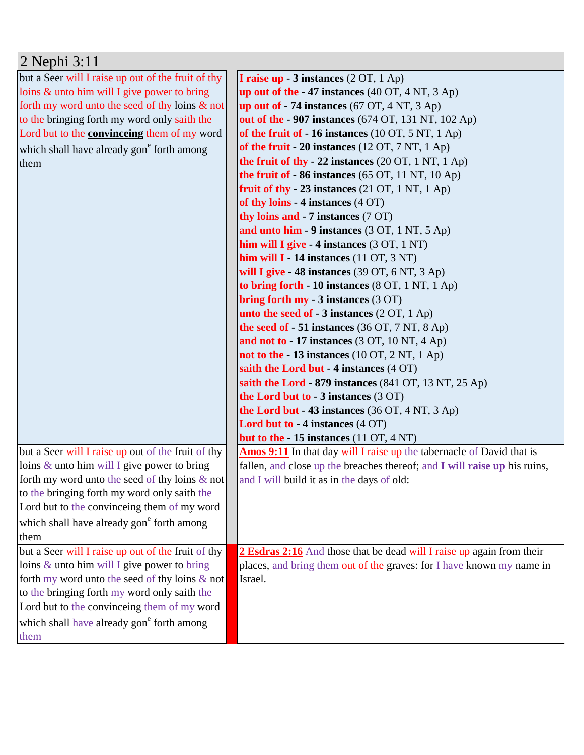| but a Seer will I raise up out of the fruit of thy<br><b>I raise up - 3 instances</b> $(2 OT, 1 Ap)$<br>loins & unto him will I give power to bring<br>up out of the $-47$ instances (40 OT, 4 NT, 3 Ap)<br>forth my word unto the seed of thy loins $\&$ not<br>up out of $-74$ instances (67 OT, 4 NT, 3 Ap)<br>out of the - 907 instances (674 OT, 131 NT, 102 Ap)<br>to the bringing forth my word only saith the<br>Lord but to the <b>convinceing</b> them of my word<br>of the fruit of $-16$ instances (10 OT, 5 NT, 1 Ap)<br>of the fruit $-20$ instances (12 OT, 7 NT, 1 Ap)<br>which shall have already gon <sup>e</sup> forth among<br>the fruit of thy - 22 instances $(20 \text{ OT}, 1 \text{ NT}, 1 \text{ Ap})$<br>them<br>the fruit of $-86$ instances (65 OT, 11 NT, 10 Ap)<br>fruit of thy $-23$ instances (21 OT, 1 NT, 1 Ap)<br>of thy loins - $4$ instances $(4$ OT)<br>thy loins and - 7 instances (7 OT)<br>and unto him - 9 instances (3 OT, 1 NT, 5 Ap)<br>him will I give $-4$ instances (3 OT, 1 NT)<br>him will $I - 14$ instances (11 OT, 3 NT)<br>will I give $-48$ instances (39 OT, 6 NT, 3 Ap)<br>to bring forth - 10 instances (8 OT, 1 NT, 1 Ap)<br>bring forth my - 3 instances (3 OT)<br>unto the seed of $-3$ instances (2 OT, 1 Ap)<br>the seed of $-51$ instances (36 OT, 7 NT, 8 Ap)<br>and not to - 17 instances (3 OT, 10 NT, 4 Ap)<br>not to the $-13$ instances (10 OT, 2 NT, 1 Ap)<br>saith the Lord but - 4 instances (4 OT) |
|-------------------------------------------------------------------------------------------------------------------------------------------------------------------------------------------------------------------------------------------------------------------------------------------------------------------------------------------------------------------------------------------------------------------------------------------------------------------------------------------------------------------------------------------------------------------------------------------------------------------------------------------------------------------------------------------------------------------------------------------------------------------------------------------------------------------------------------------------------------------------------------------------------------------------------------------------------------------------------------------------------------------------------------------------------------------------------------------------------------------------------------------------------------------------------------------------------------------------------------------------------------------------------------------------------------------------------------------------------------------------------------------------------------------------------------------------------------------------------|
|                                                                                                                                                                                                                                                                                                                                                                                                                                                                                                                                                                                                                                                                                                                                                                                                                                                                                                                                                                                                                                                                                                                                                                                                                                                                                                                                                                                                                                                                               |
|                                                                                                                                                                                                                                                                                                                                                                                                                                                                                                                                                                                                                                                                                                                                                                                                                                                                                                                                                                                                                                                                                                                                                                                                                                                                                                                                                                                                                                                                               |
|                                                                                                                                                                                                                                                                                                                                                                                                                                                                                                                                                                                                                                                                                                                                                                                                                                                                                                                                                                                                                                                                                                                                                                                                                                                                                                                                                                                                                                                                               |
|                                                                                                                                                                                                                                                                                                                                                                                                                                                                                                                                                                                                                                                                                                                                                                                                                                                                                                                                                                                                                                                                                                                                                                                                                                                                                                                                                                                                                                                                               |
|                                                                                                                                                                                                                                                                                                                                                                                                                                                                                                                                                                                                                                                                                                                                                                                                                                                                                                                                                                                                                                                                                                                                                                                                                                                                                                                                                                                                                                                                               |
|                                                                                                                                                                                                                                                                                                                                                                                                                                                                                                                                                                                                                                                                                                                                                                                                                                                                                                                                                                                                                                                                                                                                                                                                                                                                                                                                                                                                                                                                               |
|                                                                                                                                                                                                                                                                                                                                                                                                                                                                                                                                                                                                                                                                                                                                                                                                                                                                                                                                                                                                                                                                                                                                                                                                                                                                                                                                                                                                                                                                               |
|                                                                                                                                                                                                                                                                                                                                                                                                                                                                                                                                                                                                                                                                                                                                                                                                                                                                                                                                                                                                                                                                                                                                                                                                                                                                                                                                                                                                                                                                               |
|                                                                                                                                                                                                                                                                                                                                                                                                                                                                                                                                                                                                                                                                                                                                                                                                                                                                                                                                                                                                                                                                                                                                                                                                                                                                                                                                                                                                                                                                               |
|                                                                                                                                                                                                                                                                                                                                                                                                                                                                                                                                                                                                                                                                                                                                                                                                                                                                                                                                                                                                                                                                                                                                                                                                                                                                                                                                                                                                                                                                               |
|                                                                                                                                                                                                                                                                                                                                                                                                                                                                                                                                                                                                                                                                                                                                                                                                                                                                                                                                                                                                                                                                                                                                                                                                                                                                                                                                                                                                                                                                               |
|                                                                                                                                                                                                                                                                                                                                                                                                                                                                                                                                                                                                                                                                                                                                                                                                                                                                                                                                                                                                                                                                                                                                                                                                                                                                                                                                                                                                                                                                               |
|                                                                                                                                                                                                                                                                                                                                                                                                                                                                                                                                                                                                                                                                                                                                                                                                                                                                                                                                                                                                                                                                                                                                                                                                                                                                                                                                                                                                                                                                               |
|                                                                                                                                                                                                                                                                                                                                                                                                                                                                                                                                                                                                                                                                                                                                                                                                                                                                                                                                                                                                                                                                                                                                                                                                                                                                                                                                                                                                                                                                               |
|                                                                                                                                                                                                                                                                                                                                                                                                                                                                                                                                                                                                                                                                                                                                                                                                                                                                                                                                                                                                                                                                                                                                                                                                                                                                                                                                                                                                                                                                               |
|                                                                                                                                                                                                                                                                                                                                                                                                                                                                                                                                                                                                                                                                                                                                                                                                                                                                                                                                                                                                                                                                                                                                                                                                                                                                                                                                                                                                                                                                               |
|                                                                                                                                                                                                                                                                                                                                                                                                                                                                                                                                                                                                                                                                                                                                                                                                                                                                                                                                                                                                                                                                                                                                                                                                                                                                                                                                                                                                                                                                               |
|                                                                                                                                                                                                                                                                                                                                                                                                                                                                                                                                                                                                                                                                                                                                                                                                                                                                                                                                                                                                                                                                                                                                                                                                                                                                                                                                                                                                                                                                               |
|                                                                                                                                                                                                                                                                                                                                                                                                                                                                                                                                                                                                                                                                                                                                                                                                                                                                                                                                                                                                                                                                                                                                                                                                                                                                                                                                                                                                                                                                               |
|                                                                                                                                                                                                                                                                                                                                                                                                                                                                                                                                                                                                                                                                                                                                                                                                                                                                                                                                                                                                                                                                                                                                                                                                                                                                                                                                                                                                                                                                               |
|                                                                                                                                                                                                                                                                                                                                                                                                                                                                                                                                                                                                                                                                                                                                                                                                                                                                                                                                                                                                                                                                                                                                                                                                                                                                                                                                                                                                                                                                               |
|                                                                                                                                                                                                                                                                                                                                                                                                                                                                                                                                                                                                                                                                                                                                                                                                                                                                                                                                                                                                                                                                                                                                                                                                                                                                                                                                                                                                                                                                               |
| saith the Lord - 879 instances $(841 \text{ OT}, 13 \text{ NT}, 25 \text{ Ap})$                                                                                                                                                                                                                                                                                                                                                                                                                                                                                                                                                                                                                                                                                                                                                                                                                                                                                                                                                                                                                                                                                                                                                                                                                                                                                                                                                                                               |
| the Lord but to $-3$ instances $(3 \text{ OT})$                                                                                                                                                                                                                                                                                                                                                                                                                                                                                                                                                                                                                                                                                                                                                                                                                                                                                                                                                                                                                                                                                                                                                                                                                                                                                                                                                                                                                               |
| the Lord but - 43 instances (36 OT, 4 NT, 3 Ap)                                                                                                                                                                                                                                                                                                                                                                                                                                                                                                                                                                                                                                                                                                                                                                                                                                                                                                                                                                                                                                                                                                                                                                                                                                                                                                                                                                                                                               |
| Lord but to - 4 instances (4 OT)                                                                                                                                                                                                                                                                                                                                                                                                                                                                                                                                                                                                                                                                                                                                                                                                                                                                                                                                                                                                                                                                                                                                                                                                                                                                                                                                                                                                                                              |
| but to the $-15$ instances (11 OT, 4 NT)                                                                                                                                                                                                                                                                                                                                                                                                                                                                                                                                                                                                                                                                                                                                                                                                                                                                                                                                                                                                                                                                                                                                                                                                                                                                                                                                                                                                                                      |
| but a Seer will I raise up out of the fruit of thy<br><b>Amos 9:11</b> In that day will I raise up the tabernacle of David that is                                                                                                                                                                                                                                                                                                                                                                                                                                                                                                                                                                                                                                                                                                                                                                                                                                                                                                                                                                                                                                                                                                                                                                                                                                                                                                                                            |
| loins $\&$ unto him will I give power to bring<br>fallen, and close up the breaches thereof; and I will raise up his ruins,                                                                                                                                                                                                                                                                                                                                                                                                                                                                                                                                                                                                                                                                                                                                                                                                                                                                                                                                                                                                                                                                                                                                                                                                                                                                                                                                                   |
| forth my word unto the seed of thy loins $\&$ not<br>and I will build it as in the days of old:                                                                                                                                                                                                                                                                                                                                                                                                                                                                                                                                                                                                                                                                                                                                                                                                                                                                                                                                                                                                                                                                                                                                                                                                                                                                                                                                                                               |
| to the bringing forth my word only saith the                                                                                                                                                                                                                                                                                                                                                                                                                                                                                                                                                                                                                                                                                                                                                                                                                                                                                                                                                                                                                                                                                                                                                                                                                                                                                                                                                                                                                                  |
| Lord but to the convinceing them of my word                                                                                                                                                                                                                                                                                                                                                                                                                                                                                                                                                                                                                                                                                                                                                                                                                                                                                                                                                                                                                                                                                                                                                                                                                                                                                                                                                                                                                                   |
| which shall have already gon <sup>e</sup> forth among                                                                                                                                                                                                                                                                                                                                                                                                                                                                                                                                                                                                                                                                                                                                                                                                                                                                                                                                                                                                                                                                                                                                                                                                                                                                                                                                                                                                                         |
| them                                                                                                                                                                                                                                                                                                                                                                                                                                                                                                                                                                                                                                                                                                                                                                                                                                                                                                                                                                                                                                                                                                                                                                                                                                                                                                                                                                                                                                                                          |
| but a Seer will I raise up out of the fruit of thy<br>2 Esdras 2:16 And those that be dead will I raise up again from their                                                                                                                                                                                                                                                                                                                                                                                                                                                                                                                                                                                                                                                                                                                                                                                                                                                                                                                                                                                                                                                                                                                                                                                                                                                                                                                                                   |
| loins $&$ unto him will I give power to bring<br>places, and bring them out of the graves: for I have known my name in                                                                                                                                                                                                                                                                                                                                                                                                                                                                                                                                                                                                                                                                                                                                                                                                                                                                                                                                                                                                                                                                                                                                                                                                                                                                                                                                                        |
| forth my word unto the seed of thy loins & not<br>Israel.                                                                                                                                                                                                                                                                                                                                                                                                                                                                                                                                                                                                                                                                                                                                                                                                                                                                                                                                                                                                                                                                                                                                                                                                                                                                                                                                                                                                                     |
| to the bringing forth my word only saith the                                                                                                                                                                                                                                                                                                                                                                                                                                                                                                                                                                                                                                                                                                                                                                                                                                                                                                                                                                                                                                                                                                                                                                                                                                                                                                                                                                                                                                  |
| Lord but to the convinceing them of my word                                                                                                                                                                                                                                                                                                                                                                                                                                                                                                                                                                                                                                                                                                                                                                                                                                                                                                                                                                                                                                                                                                                                                                                                                                                                                                                                                                                                                                   |
| which shall have already gon <sup>e</sup> forth among                                                                                                                                                                                                                                                                                                                                                                                                                                                                                                                                                                                                                                                                                                                                                                                                                                                                                                                                                                                                                                                                                                                                                                                                                                                                                                                                                                                                                         |
| them                                                                                                                                                                                                                                                                                                                                                                                                                                                                                                                                                                                                                                                                                                                                                                                                                                                                                                                                                                                                                                                                                                                                                                                                                                                                                                                                                                                                                                                                          |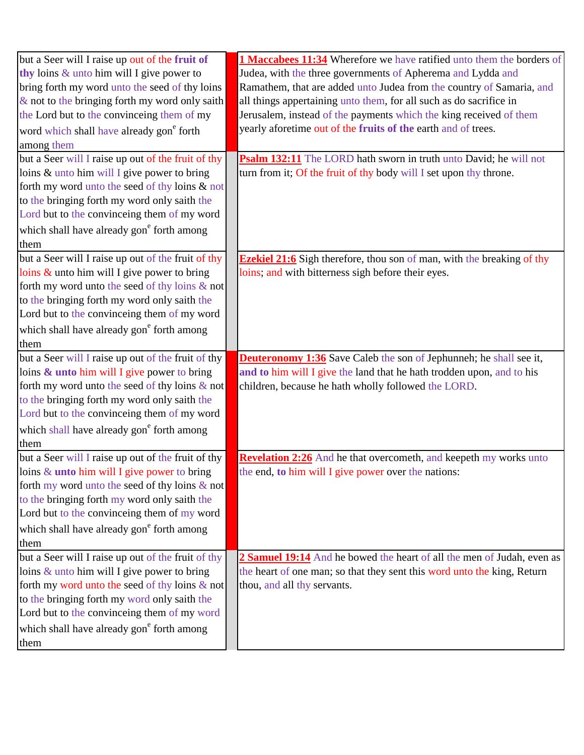| but a Seer will I raise up out of the fruit of        | 1 Maccabees 11:34 Wherefore we have ratified unto them the borders of         |
|-------------------------------------------------------|-------------------------------------------------------------------------------|
| thy loins $&$ unto him will I give power to           | Judea, with the three governments of Apherema and Lydda and                   |
| bring forth my word unto the seed of thy loins        | Ramathem, that are added unto Judea from the country of Samaria, and          |
| $\&$ not to the bringing forth my word only saith     | all things appertaining unto them, for all such as do sacrifice in            |
| the Lord but to the convinceing them of my            | Jerusalem, instead of the payments which the king received of them            |
| word which shall have already gon <sup>e</sup> forth  | yearly aforetime out of the fruits of the earth and of trees.                 |
| among them                                            |                                                                               |
| but a Seer will I raise up out of the fruit of thy    | Psalm 132:11 The LORD hath sworn in truth unto David; he will not             |
| loins & unto him will I give power to bring           | turn from it; Of the fruit of thy body will I set upon thy throne.            |
| forth my word unto the seed of thy loins & not        |                                                                               |
| to the bringing forth my word only saith the          |                                                                               |
| Lord but to the convinceing them of my word           |                                                                               |
| which shall have already gon <sup>e</sup> forth among |                                                                               |
| them                                                  |                                                                               |
| but a Seer will I raise up out of the fruit of thy    | <b>Ezekiel 21:6</b> Sigh therefore, thou son of man, with the breaking of thy |
| loins & unto him will I give power to bring           | loins; and with bitterness sigh before their eyes.                            |
| forth my word unto the seed of thy loins & not        |                                                                               |
| to the bringing forth my word only saith the          |                                                                               |
| Lord but to the convinceing them of my word           |                                                                               |
| which shall have already gon <sup>e</sup> forth among |                                                                               |
| them                                                  |                                                                               |
| but a Seer will I raise up out of the fruit of thy    | <b>Deuteronomy 1:36</b> Save Caleb the son of Jephunneh; he shall see it,     |
| loins & unto him will I give power to bring           | and to him will I give the land that he hath trodden upon, and to his         |
| forth my word unto the seed of thy loins & not        | children, because he hath wholly followed the LORD.                           |
| to the bringing forth my word only saith the          |                                                                               |
| Lord but to the convinceing them of my word           |                                                                               |
| which shall have already gon <sup>e</sup> forth among |                                                                               |
| them                                                  |                                                                               |
| but a Seer will I raise up out of the fruit of thy    | Revelation 2:26 And he that overcometh, and keepeth my works unto             |
| loins $&$ unto him will I give power to bring         | the end, to him will I give power over the nations:                           |
| forth my word unto the seed of thy loins $\&$ not     |                                                                               |
| to the bringing forth my word only saith the          |                                                                               |
| Lord but to the convinceing them of my word           |                                                                               |
| which shall have already gon <sup>e</sup> forth among |                                                                               |
| them                                                  |                                                                               |
| but a Seer will I raise up out of the fruit of thy    | 2 Samuel 19:14 And he bowed the heart of all the men of Judah, even as        |
| loins $\&$ unto him will I give power to bring        | the heart of one man; so that they sent this word unto the king, Return       |
| forth my word unto the seed of thy loins $\&$ not     | thou, and all thy servants.                                                   |
| to the bringing forth my word only saith the          |                                                                               |
| Lord but to the convinceing them of my word           |                                                                               |
| which shall have already gon <sup>e</sup> forth among |                                                                               |
| them                                                  |                                                                               |
|                                                       |                                                                               |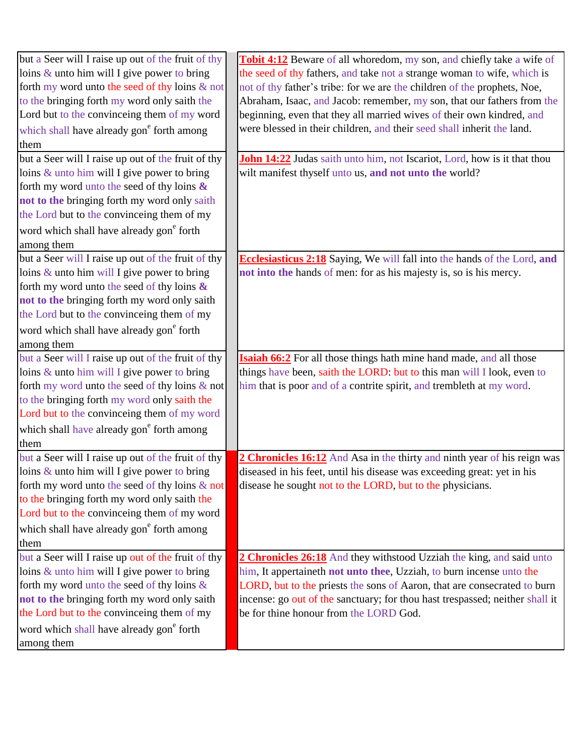| but a Seer will I raise up out of the fruit of thy    | <b>Tobit 4:12</b> Beware of all whoredom, my son, and chiefly take a wife of    |
|-------------------------------------------------------|---------------------------------------------------------------------------------|
| loins $\&$ unto him will I give power to bring        | the seed of thy fathers, and take not a strange woman to wife, which is         |
| forth my word unto the seed of thy loins & not        | not of thy father's tribe: for we are the children of the prophets, Noe,        |
| to the bringing forth my word only saith the          | Abraham, Isaac, and Jacob: remember, my son, that our fathers from the          |
| Lord but to the convinceing them of my word           | beginning, even that they all married wives of their own kindred, and           |
| which shall have already gon <sup>e</sup> forth among | were blessed in their children, and their seed shall inherit the land.          |
| them                                                  |                                                                                 |
| but a Seer will I raise up out of the fruit of thy    | <b>John 14:22</b> Judas saith unto him, not Iscariot, Lord, how is it that thou |
| loins $&$ unto him will I give power to bring         | wilt manifest thyself unto us, and not unto the world?                          |
| forth my word unto the seed of thy loins $\&$         |                                                                                 |
| not to the bringing forth my word only saith          |                                                                                 |
| the Lord but to the convinceing them of my            |                                                                                 |
| word which shall have already gon <sup>e</sup> forth  |                                                                                 |
| among them                                            |                                                                                 |
| but a Seer will I raise up out of the fruit of thy    | <b>Ecclesiasticus 2:18</b> Saying, We will fall into the hands of the Lord, and |
| loins $&$ unto him will I give power to bring         | not into the hands of men: for as his majesty is, so is his mercy.              |
| forth my word unto the seed of thy loins $\&$         |                                                                                 |
| not to the bringing forth my word only saith          |                                                                                 |
| the Lord but to the convinceing them of my            |                                                                                 |
| word which shall have already gon <sup>e</sup> forth  |                                                                                 |
| among them                                            |                                                                                 |
| but a Seer will I raise up out of the fruit of thy    | <b>Isaiah 66:2</b> For all those things hath mine hand made, and all those      |
| loins $&$ unto him will I give power to bring         | things have been, saith the LORD: but to this man will I look, even to          |
| forth my word unto the seed of thy loins $\&$ not     | him that is poor and of a contrite spirit, and trembleth at my word.            |
| to the bringing forth my word only saith the          |                                                                                 |
| Lord but to the convinceing them of my word           |                                                                                 |
| which shall have already gon <sup>e</sup> forth among |                                                                                 |
| them                                                  |                                                                                 |
| but a Seer will I raise up out of the fruit of thy    | 2 Chronicles 16:12 And Asa in the thirty and ninth year of his reign was        |
| loins $\&$ unto him will I give power to bring        | diseased in his feet, until his disease was exceeding great: yet in his         |
| forth my word unto the seed of thy loins & not        | disease he sought not to the LORD, but to the physicians.                       |
| to the bringing forth my word only saith the          |                                                                                 |
| Lord but to the convinceing them of my word           |                                                                                 |
| which shall have already gon <sup>e</sup> forth among |                                                                                 |
| them                                                  |                                                                                 |
| but a Seer will I raise up out of the fruit of thy    | 2 Chronicles 26:18 And they withstood Uzziah the king, and said unto            |
| loins $&$ unto him will I give power to bring         | him, It appertaineth not unto thee, Uzziah, to burn incense unto the            |
| forth my word unto the seed of thy loins &            | LORD, but to the priests the sons of Aaron, that are consecrated to burn        |
| not to the bringing forth my word only saith          | incense: go out of the sanctuary; for thou hast trespassed; neither shall it    |
| the Lord but to the convinceing them of my            | be for thine honour from the LORD God.                                          |
| word which shall have already gon <sup>e</sup> forth  |                                                                                 |
| among them                                            |                                                                                 |